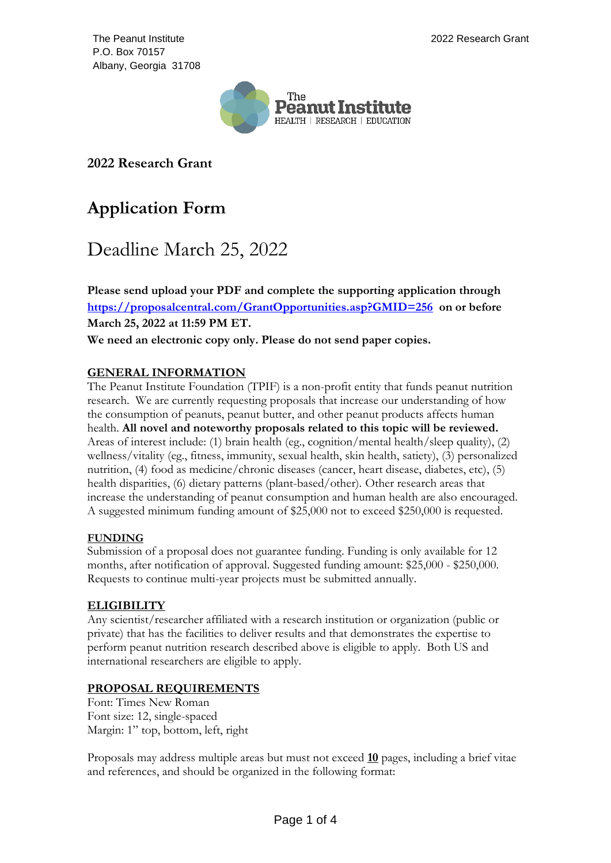The Peanut Institute P.O. Box 70157 Albany, Georgia 31708



**2022 Research Grant**

# **Application Form**

# Deadline March 25, 2022

**Please send upload your PDF and complete the supporting application through <https://proposalcentral.com/GrantOpportunities.asp?GMID=256> on or before March 25, 2022 at 11:59 PM ET.**

**We need an electronic copy only. Please do not send paper copies.**

# **GENERAL INFORMATION**

The Peanut Institute Foundation (TPIF) is a non-profit entity that funds peanut nutrition research. We are currently requesting proposals that increase our understanding of how the consumption of peanuts, peanut butter, and other peanut products affects human health. **All novel and noteworthy proposals related to this topic will be reviewed.** Areas of interest include: (1) brain health (eg., cognition/mental health/sleep quality), (2) wellness/vitality (eg., fitness, immunity, sexual health, skin health, satiety), (3) personalized nutrition, (4) food as medicine/chronic diseases (cancer, heart disease, diabetes, etc), (5) health disparities, (6) dietary patterns (plant-based/other). Other research areas that increase the understanding of peanut consumption and human health are also encouraged. A suggested minimum funding amount of \$25,000 not to exceed \$250,000 is requested.

# **FUNDING**

Submission of a proposal does not guarantee funding. Funding is only available for 12 months, after notification of approval. Suggested funding amount: \$25,000 - \$250,000. Requests to continue multi-year projects must be submitted annually.

# **ELIGIBILITY**

Any scientist/researcher affiliated with a research institution or organization (public or private) that has the facilities to deliver results and that demonstrates the expertise to perform peanut nutrition research described above is eligible to apply. Both US and international researchers are eligible to apply.

# **PROPOSAL REQUIREMENTS**

Font: Times New Roman Font size: 12, single-spaced Margin: 1" top, bottom, left, right

Proposals may address multiple areas but must not exceed **10** pages, including a brief vitae and references, and should be organized in the following format: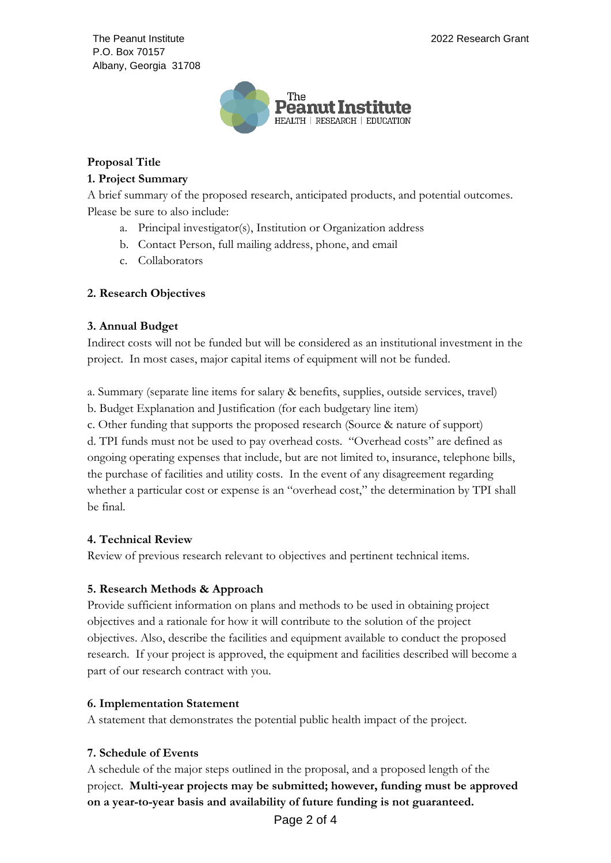The Peanut Institute P.O. Box 70157 Albany, Georgia 31708



# **Proposal Title**

## **1. Project Summary**

A brief summary of the proposed research, anticipated products, and potential outcomes. Please be sure to also include:

- a. Principal investigator(s), Institution or Organization address
- b. Contact Person, full mailing address, phone, and email
- c. Collaborators

## **2. Research Objectives**

## **3. Annual Budget**

Indirect costs will not be funded but will be considered as an institutional investment in the project. In most cases, major capital items of equipment will not be funded.

a. Summary (separate line items for salary & benefits, supplies, outside services, travel)

b. Budget Explanation and Justification (for each budgetary line item)

c. Other funding that supports the proposed research (Source & nature of support) d. TPI funds must not be used to pay overhead costs. "Overhead costs" are defined as ongoing operating expenses that include, but are not limited to, insurance, telephone bills, the purchase of facilities and utility costs. In the event of any disagreement regarding whether a particular cost or expense is an "overhead cost," the determination by TPI shall be final.

## **4. Technical Review**

Review of previous research relevant to objectives and pertinent technical items.

## **5. Research Methods & Approach**

Provide sufficient information on plans and methods to be used in obtaining project objectives and a rationale for how it will contribute to the solution of the project objectives. Also, describe the facilities and equipment available to conduct the proposed research. If your project is approved, the equipment and facilities described will become a part of our research contract with you.

# **6. Implementation Statement**

A statement that demonstrates the potential public health impact of the project.

# **7. Schedule of Events**

A schedule of the major steps outlined in the proposal, and a proposed length of the project. **Multi-year projects may be submitted; however, funding must be approved on a year-to-year basis and availability of future funding is not guaranteed.**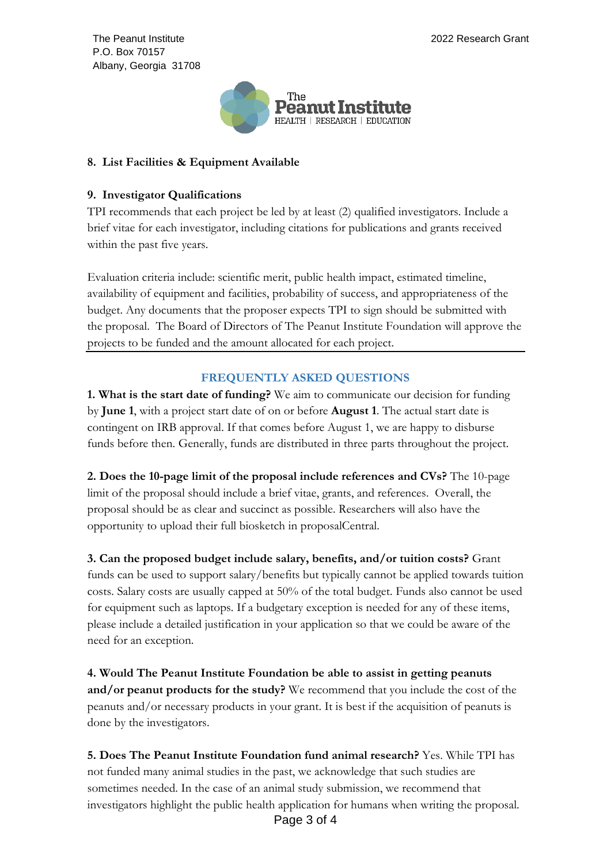The Peanut Institute P.O. Box 70157 Albany, Georgia 31708



## **8. List Facilities & Equipment Available**

## **9. Investigator Qualifications**

TPI recommends that each project be led by at least (2) qualified investigators*.* Include a brief vitae for each investigator, including citations for publications and grants received within the past five years.

Evaluation criteria include: scientific merit, public health impact, estimated timeline, availability of equipment and facilities, probability of success, and appropriateness of the budget. Any documents that the proposer expects TPI to sign should be submitted with the proposal. The Board of Directors of The Peanut Institute Foundation will approve the projects to be funded and the amount allocated for each project.

# **FREQUENTLY ASKED QUESTIONS**

**1. What is the start date of funding?** We aim to communicate our decision for funding by **June 1**, with a project start date of on or before **August 1**. The actual start date is contingent on IRB approval. If that comes before August 1, we are happy to disburse funds before then. Generally, funds are distributed in three parts throughout the project.

**2. Does the 10-page limit of the proposal include references and CVs?** The 10-page limit of the proposal should include a brief vitae, grants, and references. Overall, the proposal should be as clear and succinct as possible. Researchers will also have the opportunity to upload their full biosketch in proposalCentral.

**3. Can the proposed budget include salary, benefits, and/or tuition costs?** Grant funds can be used to support salary/benefits but typically cannot be applied towards tuition costs. Salary costs are usually capped at 50% of the total budget. Funds also cannot be used for equipment such as laptops. If a budgetary exception is needed for any of these items, please include a detailed justification in your application so that we could be aware of the need for an exception.

**4. Would The Peanut Institute Foundation be able to assist in getting peanuts and/or peanut products for the study?** We recommend that you include the cost of the peanuts and/or necessary products in your grant. It is best if the acquisition of peanuts is done by the investigators.

**5. Does The Peanut Institute Foundation fund animal research?** Yes. While TPI has not funded many animal studies in the past, we acknowledge that such studies are sometimes needed. In the case of an animal study submission, we recommend that investigators highlight the public health application for humans when writing the proposal.